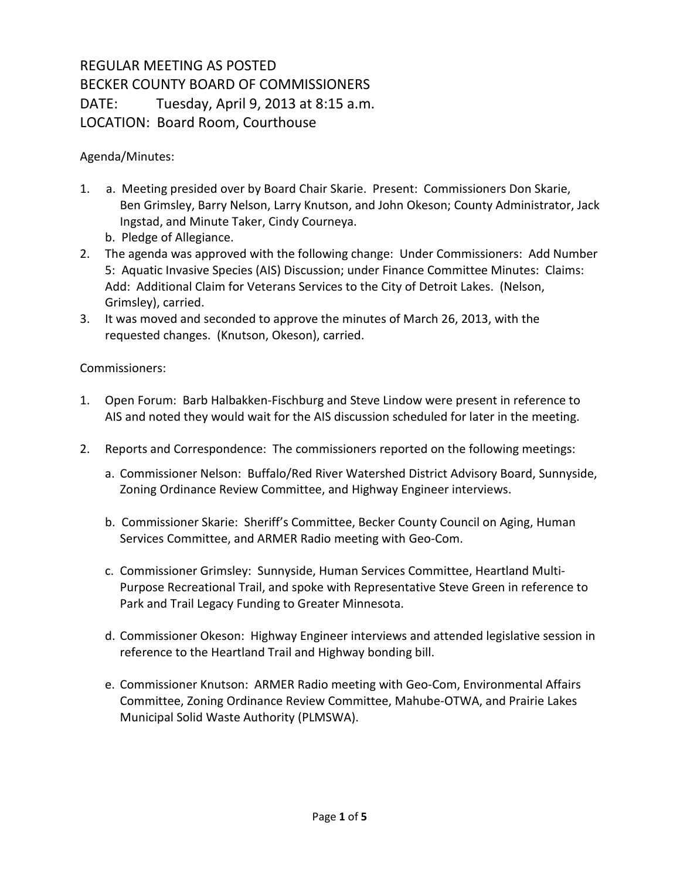## REGULAR MEETING AS POSTED BECKER COUNTY BOARD OF COMMISSIONERS DATE: Tuesday, April 9, 2013 at 8:15 a.m. LOCATION: Board Room, Courthouse

Agenda/Minutes:

- 1. a. Meeting presided over by Board Chair Skarie. Present: Commissioners Don Skarie, Ben Grimsley, Barry Nelson, Larry Knutson, and John Okeson; County Administrator, Jack Ingstad, and Minute Taker, Cindy Courneya.
	- b. Pledge of Allegiance.
- 2. The agenda was approved with the following change: Under Commissioners: Add Number 5: Aquatic Invasive Species (AIS) Discussion; under Finance Committee Minutes: Claims: Add: Additional Claim for Veterans Services to the City of Detroit Lakes. (Nelson, Grimsley), carried.
- 3. It was moved and seconded to approve the minutes of March 26, 2013, with the requested changes. (Knutson, Okeson), carried.

Commissioners:

- 1. Open Forum: Barb Halbakken-Fischburg and Steve Lindow were present in reference to AIS and noted they would wait for the AIS discussion scheduled for later in the meeting.
- 2. Reports and Correspondence: The commissioners reported on the following meetings:
	- a. Commissioner Nelson: Buffalo/Red River Watershed District Advisory Board, Sunnyside, Zoning Ordinance Review Committee, and Highway Engineer interviews.
	- b. Commissioner Skarie: Sheriff's Committee, Becker County Council on Aging, Human Services Committee, and ARMER Radio meeting with Geo-Com.
	- c. Commissioner Grimsley: Sunnyside, Human Services Committee, Heartland Multi-Purpose Recreational Trail, and spoke with Representative Steve Green in reference to Park and Trail Legacy Funding to Greater Minnesota.
	- d. Commissioner Okeson: Highway Engineer interviews and attended legislative session in reference to the Heartland Trail and Highway bonding bill.
	- e. Commissioner Knutson: ARMER Radio meeting with Geo-Com, Environmental Affairs Committee, Zoning Ordinance Review Committee, Mahube-OTWA, and Prairie Lakes Municipal Solid Waste Authority (PLMSWA).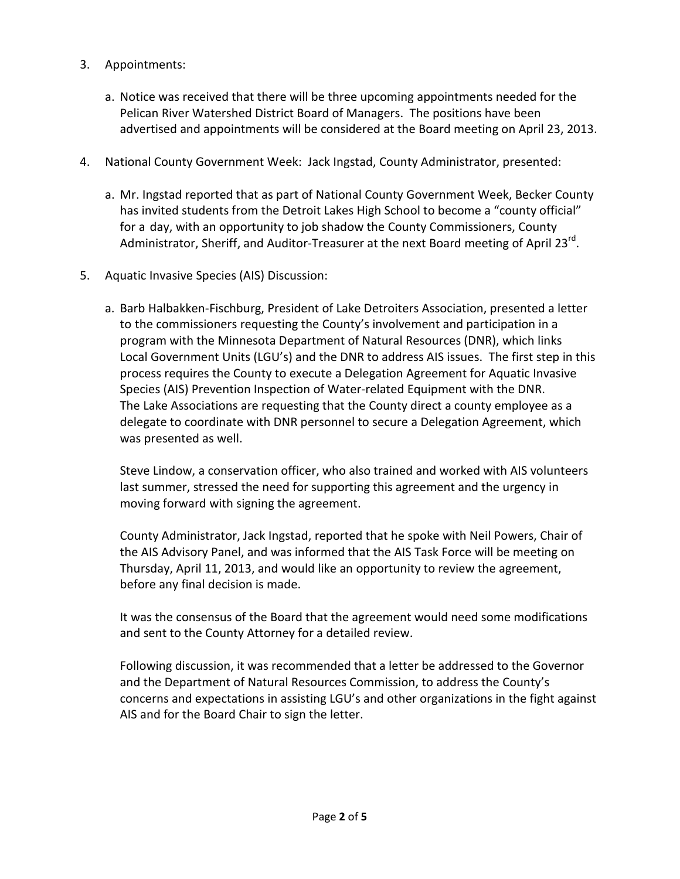- 3. Appointments:
	- a. Notice was received that there will be three upcoming appointments needed for the Pelican River Watershed District Board of Managers. The positions have been advertised and appointments will be considered at the Board meeting on April 23, 2013.
- 4. National County Government Week: Jack Ingstad, County Administrator, presented:
	- a. Mr. Ingstad reported that as part of National County Government Week, Becker County has invited students from the Detroit Lakes High School to become a "county official" for a day, with an opportunity to job shadow the County Commissioners, County Administrator, Sheriff, and Auditor-Treasurer at the next Board meeting of April 23<sup>rd</sup>.
- 5. Aquatic Invasive Species (AIS) Discussion:
	- a. Barb Halbakken-Fischburg, President of Lake Detroiters Association, presented a letter to the commissioners requesting the County's involvement and participation in a program with the Minnesota Department of Natural Resources (DNR), which links Local Government Units (LGU's) and the DNR to address AIS issues. The first step in this process requires the County to execute a Delegation Agreement for Aquatic Invasive Species (AIS) Prevention Inspection of Water-related Equipment with the DNR. The Lake Associations are requesting that the County direct a county employee as a delegate to coordinate with DNR personnel to secure a Delegation Agreement, which was presented as well.

Steve Lindow, a conservation officer, who also trained and worked with AIS volunteers last summer, stressed the need for supporting this agreement and the urgency in moving forward with signing the agreement.

County Administrator, Jack Ingstad, reported that he spoke with Neil Powers, Chair of the AIS Advisory Panel, and was informed that the AIS Task Force will be meeting on Thursday, April 11, 2013, and would like an opportunity to review the agreement, before any final decision is made.

It was the consensus of the Board that the agreement would need some modifications and sent to the County Attorney for a detailed review.

Following discussion, it was recommended that a letter be addressed to the Governor and the Department of Natural Resources Commission, to address the County's concerns and expectations in assisting LGU's and other organizations in the fight against AIS and for the Board Chair to sign the letter.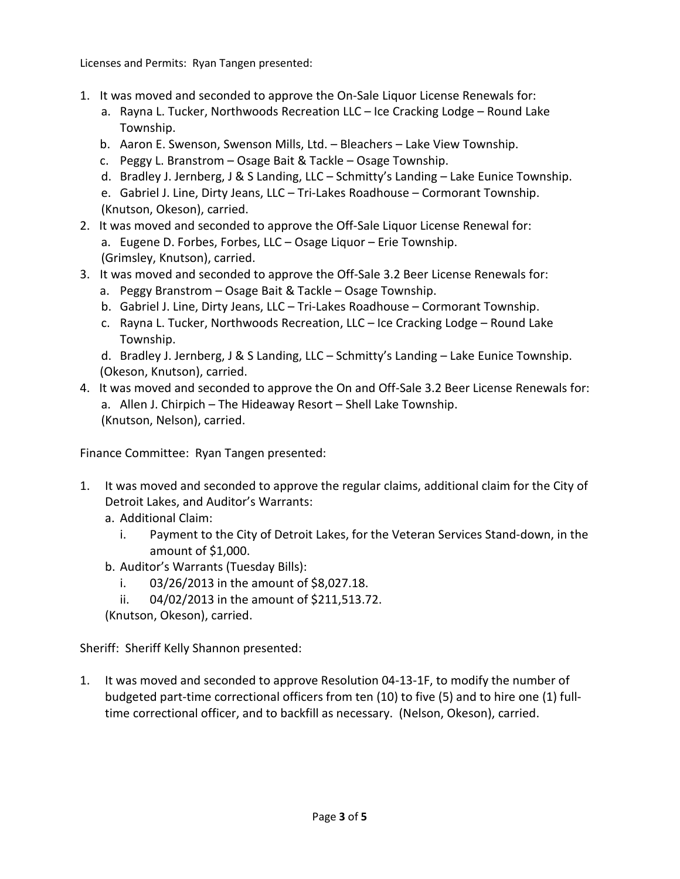Licenses and Permits: Ryan Tangen presented:

- 1. It was moved and seconded to approve the On-Sale Liquor License Renewals for:
	- a. Rayna L. Tucker, Northwoods Recreation LLC Ice Cracking Lodge Round Lake Township.
	- b. Aaron E. Swenson, Swenson Mills, Ltd. Bleachers Lake View Township.
	- c. Peggy L. Branstrom Osage Bait & Tackle Osage Township.
	- d. Bradley J. Jernberg, J & S Landing, LLC Schmitty's Landing Lake Eunice Township.
	- e. Gabriel J. Line, Dirty Jeans, LLC Tri-Lakes Roadhouse Cormorant Township. (Knutson, Okeson), carried.
- 2. It was moved and seconded to approve the Off-Sale Liquor License Renewal for: a. Eugene D. Forbes, Forbes, LLC – Osage Liquor – Erie Township. (Grimsley, Knutson), carried.
- 3. It was moved and seconded to approve the Off-Sale 3.2 Beer License Renewals for:
	- a. Peggy Branstrom Osage Bait & Tackle Osage Township.
	- b. Gabriel J. Line, Dirty Jeans, LLC Tri-Lakes Roadhouse Cormorant Township.
	- c. Rayna L. Tucker, Northwoods Recreation, LLC Ice Cracking Lodge Round Lake Township.
	- d. Bradley J. Jernberg, J & S Landing, LLC Schmitty's Landing Lake Eunice Township. (Okeson, Knutson), carried.
- 4. It was moved and seconded to approve the On and Off-Sale 3.2 Beer License Renewals for: a. Allen J. Chirpich – The Hideaway Resort – Shell Lake Township. (Knutson, Nelson), carried.

Finance Committee: Ryan Tangen presented:

- 1. It was moved and seconded to approve the regular claims, additional claim for the City of Detroit Lakes, and Auditor's Warrants:
	- a. Additional Claim:
		- i. Payment to the City of Detroit Lakes, for the Veteran Services Stand-down, in the amount of \$1,000.
	- b. Auditor's Warrants (Tuesday Bills):
		- i. 03/26/2013 in the amount of \$8,027.18.
		- ii. 04/02/2013 in the amount of \$211,513.72.

(Knutson, Okeson), carried.

Sheriff: Sheriff Kelly Shannon presented:

1. It was moved and seconded to approve Resolution 04-13-1F, to modify the number of budgeted part-time correctional officers from ten (10) to five (5) and to hire one (1) fulltime correctional officer, and to backfill as necessary. (Nelson, Okeson), carried.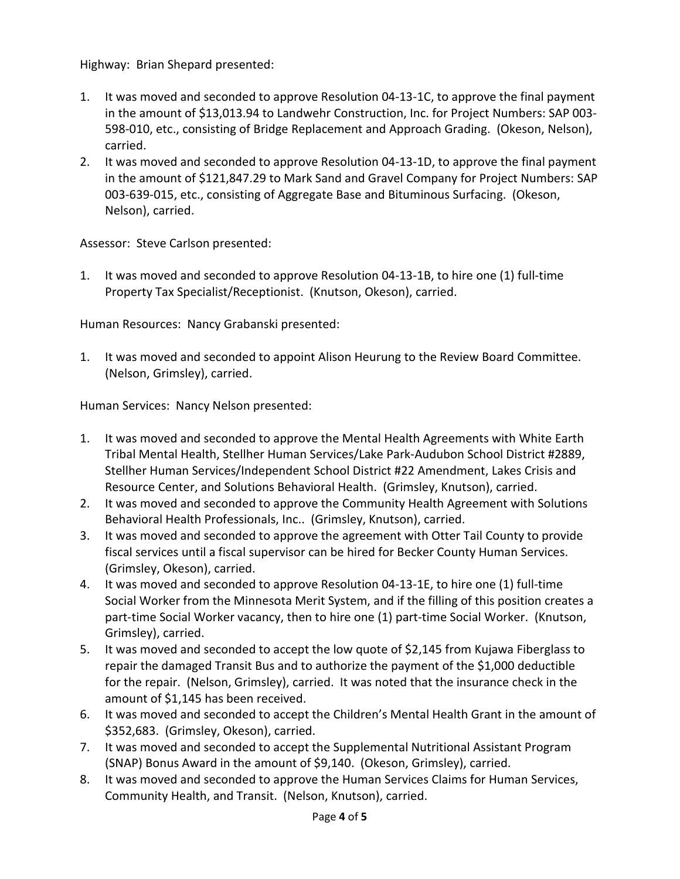Highway: Brian Shepard presented:

- 1. It was moved and seconded to approve Resolution 04-13-1C, to approve the final payment in the amount of \$13,013.94 to Landwehr Construction, Inc. for Project Numbers: SAP 003- 598-010, etc., consisting of Bridge Replacement and Approach Grading. (Okeson, Nelson), carried.
- 2. It was moved and seconded to approve Resolution 04-13-1D, to approve the final payment in the amount of \$121,847.29 to Mark Sand and Gravel Company for Project Numbers: SAP 003-639-015, etc., consisting of Aggregate Base and Bituminous Surfacing. (Okeson, Nelson), carried.

Assessor: Steve Carlson presented:

1. It was moved and seconded to approve Resolution 04-13-1B, to hire one (1) full-time Property Tax Specialist/Receptionist. (Knutson, Okeson), carried.

Human Resources: Nancy Grabanski presented:

1. It was moved and seconded to appoint Alison Heurung to the Review Board Committee. (Nelson, Grimsley), carried.

Human Services: Nancy Nelson presented:

- 1. It was moved and seconded to approve the Mental Health Agreements with White Earth Tribal Mental Health, Stellher Human Services/Lake Park-Audubon School District #2889, Stellher Human Services/Independent School District #22 Amendment, Lakes Crisis and Resource Center, and Solutions Behavioral Health. (Grimsley, Knutson), carried.
- 2. It was moved and seconded to approve the Community Health Agreement with Solutions Behavioral Health Professionals, Inc.. (Grimsley, Knutson), carried.
- 3. It was moved and seconded to approve the agreement with Otter Tail County to provide fiscal services until a fiscal supervisor can be hired for Becker County Human Services. (Grimsley, Okeson), carried.
- 4. It was moved and seconded to approve Resolution 04-13-1E, to hire one (1) full-time Social Worker from the Minnesota Merit System, and if the filling of this position creates a part-time Social Worker vacancy, then to hire one (1) part-time Social Worker. (Knutson, Grimsley), carried.
- 5. It was moved and seconded to accept the low quote of \$2,145 from Kujawa Fiberglass to repair the damaged Transit Bus and to authorize the payment of the \$1,000 deductible for the repair. (Nelson, Grimsley), carried. It was noted that the insurance check in the amount of \$1,145 has been received.
- 6. It was moved and seconded to accept the Children's Mental Health Grant in the amount of \$352,683. (Grimsley, Okeson), carried.
- 7. It was moved and seconded to accept the Supplemental Nutritional Assistant Program (SNAP) Bonus Award in the amount of \$9,140. (Okeson, Grimsley), carried.
- 8. It was moved and seconded to approve the Human Services Claims for Human Services, Community Health, and Transit. (Nelson, Knutson), carried.